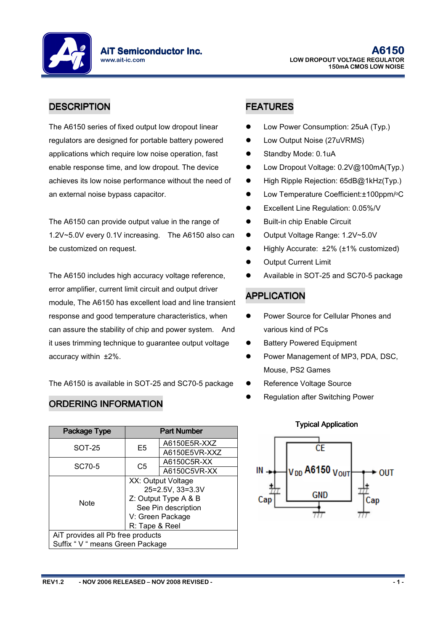**AiT Semiconductor Inc.** www.ait-ic.com

# DESCRIPTION **FEATURES**

The A6150 series of fixed output low dropout linear regulators are designed for portable battery powered applications which require low noise operation, fast enable response time, and low dropout. The device achieves its low noise performance without the need of an external noise bypass capacitor.

The A6150 can provide output value in the range of 1.2V~5.0V every 0.1V increasing. The A6150 also can be customized on request.

The A6150 includes high accuracy voltage reference, error amplifier, current limit circuit and output driver module, The A6150 has excellent load and line transient response and good temperature characteristics, when can assure the stability of chip and power system. And it uses trimming technique to guarantee output voltage accuracy within ±2%.

The A6150 is available in SOT-25 and SC70-5 package

### ORDERING INFORMATION

| Package Type                      | <b>Part Number</b>   |               |  |
|-----------------------------------|----------------------|---------------|--|
| SOT-25                            | E5                   | A6150E5R-XXZ  |  |
|                                   |                      | A6150E5VR-XXZ |  |
| SC70-5                            | C5                   | A6150C5R-XX   |  |
|                                   |                      | A6150C5VR-XX  |  |
|                                   | XX: Output Voltage   |               |  |
| <b>Note</b>                       | 25=2.5V, 33=3.3V     |               |  |
|                                   | Z: Output Type A & B |               |  |
|                                   | See Pin description  |               |  |
|                                   | V: Green Package     |               |  |
|                                   | R: Tape & Reel       |               |  |
| AiT provides all Pb free products |                      |               |  |
| Suffix " V " means Green Package  |                      |               |  |

- Low Power Consumption: 25uA (Typ.)
- Low Output Noise (27uVRMS)
- Standby Mode: 0.1uA
- Low Dropout Voltage: 0.2V@100mA(Typ.)
- High Ripple Rejection: 65dB@1kHz(Typ.)
- Low Temperature Coefficient:±100ppm/<sup>o</sup>C
- Excellent Line Regulation: 0.05%/V
- Built-in chip Enable Circuit
- Output Voltage Range: 1.2V~5.0V
- Highly Accurate: ±2% (±1% customized)
- Output Current Limit
- Available in SOT-25 and SC70-5 package

# APPLICATION

- Power Source for Cellular Phones and various kind of PCs
- Battery Powered Equipment
- Power Management of MP3, PDA, DSC, Mouse, PS2 Games
- Reference Voltage Source
- Regulation after Switching Power



### **Typical Application**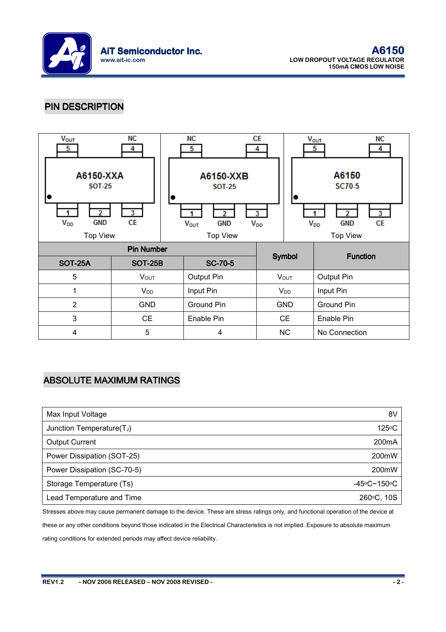

### PIN DESCRIPTION



### **ABSOLUTE MAXIMUM RATINGS**

| Max Input Voltage           | 8V                 |
|-----------------------------|--------------------|
| Junction Temperature(TJ)    | 125°C              |
| <b>Output Current</b>       | 200 <sub>m</sub> A |
| Power Dissipation (SOT-25)  | 200mW              |
| Power Dissipation (SC-70-5) | 200mW              |
| Storage Temperature (Ts)    | $-45$ °C~150°C     |
| Lead Temperature and Time   | 260°C, 10S         |

Stresses above may cause permanent damage to the device. These are stress ratings only, and functional operation of the device at these or any other conditions beyond those indicated in the Electrical Characteristics is not implied. Exposure to absolute maximum rating conditions for extended periods may affect device reliability.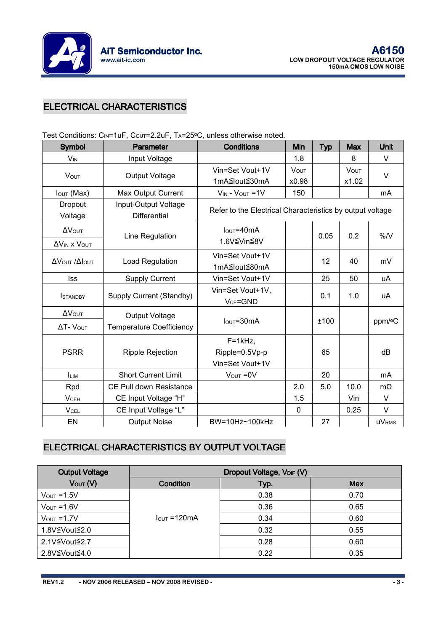

# **ELECTRICAL CHARACTERISTICS**

| <b>Symbol</b>                          | Parameter                                         | <b>Conditions</b>                                         | Min                  | <b>Typ</b> | <b>Max</b>           | Unit         |
|----------------------------------------|---------------------------------------------------|-----------------------------------------------------------|----------------------|------------|----------------------|--------------|
| $V_{IN}$                               | Input Voltage                                     |                                                           | 1.8                  |            | 8                    | V            |
| <b>VOUT</b>                            | Output Voltage                                    | Vin=Set Vout+1V<br>1mA≦lout≦30mA                          | <b>VOUT</b><br>x0.98 |            | <b>VOUT</b><br>x1.02 | $\vee$       |
| $I_{\text{OUT}}$ (Max)                 | <b>Max Output Current</b>                         | $V_{IN}$ - $V_{OUT}$ = 1V                                 | 150                  |            |                      | mA           |
| Dropout<br>Voltage                     | Input-Output Voltage<br><b>Differential</b>       | Refer to the Electrical Characteristics by output voltage |                      |            |                      |              |
| ΔVουτ<br>$\Delta V_{IN}$ x $V_{OUT}$   | Line Regulation                                   | $IOUT=40mA$<br>1.6V≦Vin≦8V                                |                      | 0.05       | 0.2                  | %N           |
| Δ VOUT / ΔΙΟUΤ                         | Load Regulation                                   | Vin=Set Vout+1V<br>1mA≦lout≦80mA                          |                      | 12         | 40                   | mV           |
| <b>Iss</b>                             | <b>Supply Current</b>                             | Vin=Set Vout+1V                                           |                      | 25         | 50                   | uA           |
| <b>ISTANDBY</b>                        | Supply Current (Standby)                          | Vin=Set Vout+1V,<br>$V_{CE} = GND$                        |                      | 0.1        | 1.0                  | uA           |
| ΔVουτ<br>$\Delta T$ - $V_{\text{OUT}}$ | Output Voltage<br><b>Temperature Coefficiency</b> | $IOUT=30mA$                                               |                      | ±100       |                      | ppm/°C       |
| <b>PSRR</b>                            | Ripple Rejection                                  | $F=1kHz$ ,<br>Ripple=0.5Vp-p<br>Vin=Set Vout+1V           |                      | 65         |                      | dB           |
| <b>ILIM</b>                            | <b>Short Current Limit</b>                        | $V_{\text{OUT}} = 0V$                                     |                      | 20         |                      | mA           |
| Rpd                                    | CE Pull down Resistance                           |                                                           | 2.0                  | 5.0        | 10.0                 | $m\Omega$    |
| <b>V<sub>CEH</sub></b>                 | CE Input Voltage "H"                              |                                                           | 1.5                  |            | Vin                  | $\vee$       |
| <b>VCEL</b>                            | CE Input Voltage "L"                              |                                                           | $\mathbf 0$          |            | 0.25                 | $\vee$       |
| EN                                     | <b>Output Noise</b>                               | BW=10Hz~100kHz                                            |                      | 27         |                      | <b>uVRMS</b> |

Test Conditions:  $C_0$  $=1$ uF,  $C_0$  $=2.2$ uF, T $=250C_0$ , unless otherwise noted.

### ELECTRICAL CHARACTERISTICS BY OUTPUT VOLTAGE

| <b>Output Voltage</b>   | Dropout Voltage, VDIF (V) |      |            |
|-------------------------|---------------------------|------|------------|
| Vout (V)                | <b>Condition</b>          | Typ. | <b>Max</b> |
| $V_{\text{OUT}} = 1.5V$ |                           | 0.38 | 0.70       |
| $V_{OUT} = 1.6V$        |                           | 0.36 | 0.65       |
| $V_{\text{OUT}} = 1.7V$ | $IQUT = 120mA$            | 0.34 | 0.60       |
| 1.8V≦Vout≦2.0           |                           | 0.32 | 0.55       |
| 2.1V≦Vout≦2.7           |                           | 0.28 | 0.60       |
| 2.8V≦Vout≦4.0           |                           | 0.22 | 0.35       |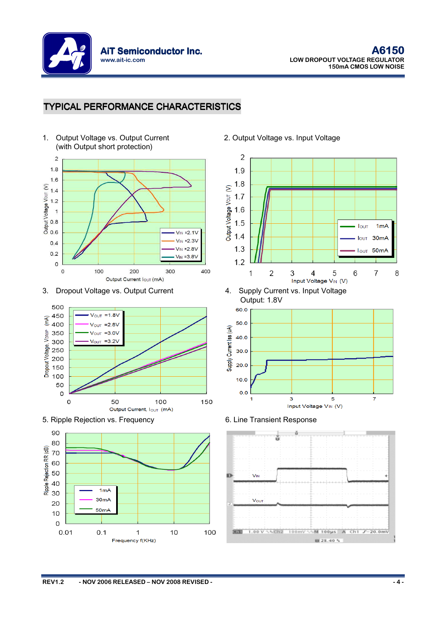

### TYPICAL PERFORMANCE CHARACTERISTICS















Output: 1.8V





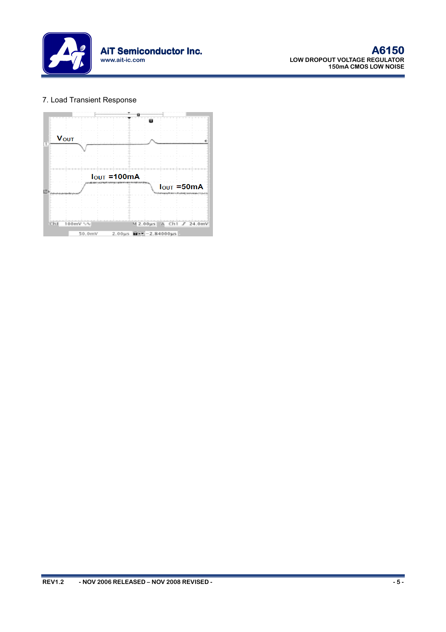

#### 7. Load Transient Response

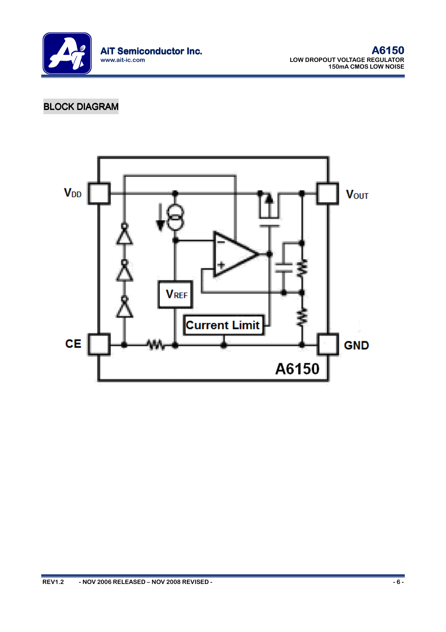

# **BLOCK DIAGRAM**

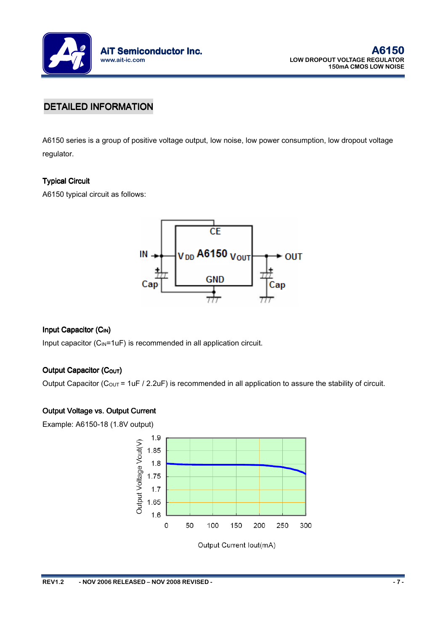

### DETAILED INFORMATION

A6150 series is a group of positive voltage output, low noise, low power consumption, low dropout voltage regulator.

#### **Typical Circuit**

A6150 typical circuit as follows:

![](_page_6_Figure_6.jpeg)

#### Input Capacitor (C<sub>IN</sub>)

Input capacitor  $(C_{\text{IN}}=1$ uF) is recommended in all application circuit.

#### Output Capacitor (Cour)

Output Capacitor ( $C_{\text{OUT}}$  = 1uF / 2.2uF) is recommended in all application to assure the stability of circuit.

#### Output Voltage vs. Output Current

Example: A6150-18 (1.8V output)

![](_page_6_Figure_13.jpeg)

Output Current lout(mA)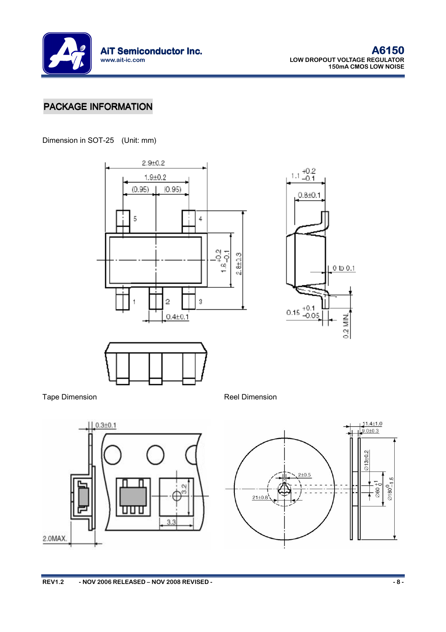![](_page_7_Picture_0.jpeg)

## PACKAGE INFORMATION

Dimension in SOT-25 (Unit: mm)

![](_page_7_Figure_4.jpeg)

![](_page_7_Figure_5.jpeg)

![](_page_7_Figure_6.jpeg)

Tape Dimension **Reel Dimension** 

![](_page_7_Figure_9.jpeg)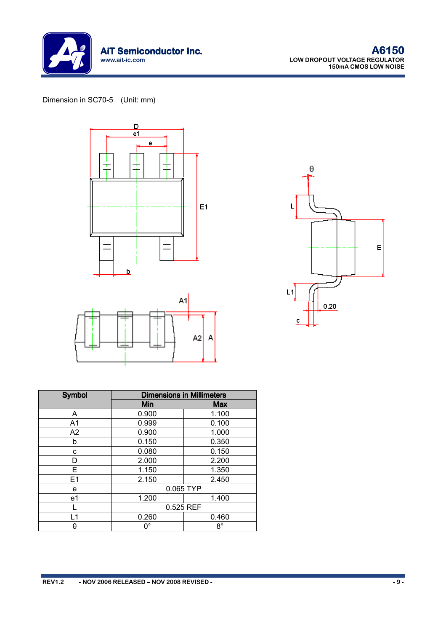![](_page_8_Picture_0.jpeg)

### Dimension in SC70-5 (Unit: mm)

![](_page_8_Figure_3.jpeg)

![](_page_8_Figure_4.jpeg)

![](_page_8_Figure_5.jpeg)

| <b>Symbol</b>  | <b>Dimensions in Millimeters</b> |            |  |
|----------------|----------------------------------|------------|--|
|                | Min                              | <b>Max</b> |  |
| A              | 0.900                            | 1.100      |  |
| A <sub>1</sub> | 0.999                            | 0.100      |  |
| A2             | 0.900                            | 1.000      |  |
| b              | 0.150                            | 0.350      |  |
| c              | 0.080                            | 0.150      |  |
| D              | 2.000                            | 2.200      |  |
| Е              | 1.150                            | 1.350      |  |
| E1             | 2.150                            | 2.450      |  |
| е              | 0.065 TYP                        |            |  |
| e <sub>1</sub> | 1.200                            | 1.400      |  |
|                | 0.525 REF                        |            |  |
| L1             | 0.260                            | 0.460      |  |
| θ              | $0^{\circ}$                      | $8^\circ$  |  |